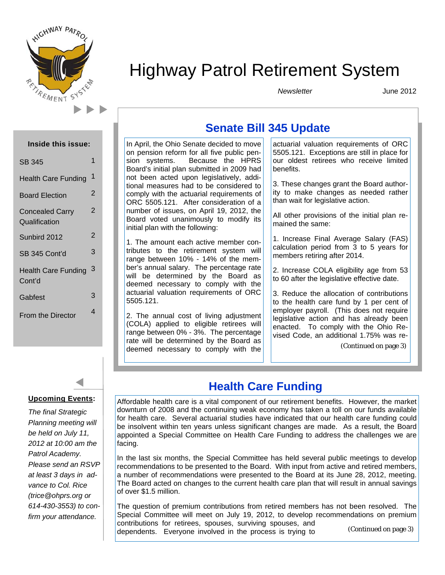

# Highway Patrol Retirement System

*Newsletter* 

June 2012

| <b>Inside this issue:</b>               |                |
|-----------------------------------------|----------------|
| <b>SB 345</b>                           | 1              |
| <b>Health Care Funding</b>              | 1              |
| <b>Board Election</b>                   | 2              |
| <b>Concealed Carry</b><br>Qualification | 2              |
| Sunbird 2012                            | $\overline{2}$ |
| SB 345 Cont'd                           | 3              |
| <b>Health Care Funding</b><br>Cont'd    | 3              |
| Gabfest                                 | 3              |
| <b>From the Director</b>                | 4              |



*The final Strategic Planning meeting will be held on July 11, 2012 at 10:00 am the Patrol Academy. Please send an RSVP at least 3 days in advance to Col. Rice (trice@ohprs.org or 614-430-3553) to confirm your attendance.* 

# **Senate Bill 345 Update**

In April, the Ohio Senate decided to move on pension reform for all five public pension systems. Because the HPRS Board's initial plan submitted in 2009 had not been acted upon legislatively, additional measures had to be considered to comply with the actuarial requirements of ORC 5505.121. After consideration of a number of issues, on April 19, 2012, the Board voted unanimously to modify its initial plan with the following:

1. The amount each active member contributes to the retirement system will range between 10% - 14% of the member's annual salary. The percentage rate will be determined by the Board as deemed necessary to comply with the actuarial valuation requirements of ORC 5505.121.

2. The annual cost of living adjustment (COLA) applied to eligible retirees will range between 0% - 3%. The percentage rate will be determined by the Board as deemed necessary to comply with the actuarial valuation requirements of ORC 5505.121. Exceptions are still in place for our oldest retirees who receive limited benefits.

3. These changes grant the Board authority to make changes as needed rather than wait for legislative action.

All other provisions of the initial plan remained the same:

1. Increase Final Average Salary (FAS) calculation period from 3 to 5 years for members retiring after 2014.

2. Increase COLA eligibility age from 53 to 60 after the legislative effective date.

3. Reduce the allocation of contributions to the health care fund by 1 per cent of employer payroll. (This does not require legislative action and has already been enacted. To comply with the Ohio Revised Code, an additional 1.75% was re-

(Continued on page 3)

# **Health Care Funding**

Affordable health care is a vital component of our retirement benefits. However, the market downturn of 2008 and the continuing weak economy has taken a toll on our funds available for health care. Several actuarial studies have indicated that our health care funding could be insolvent within ten years unless significant changes are made. As a result, the Board appointed a Special Committee on Health Care Funding to address the challenges we are facing.

In the last six months, the Special Committee has held several public meetings to develop recommendations to be presented to the Board. With input from active and retired members, a number of recommendations were presented to the Board at its June 28, 2012, meeting. The Board acted on changes to the current health care plan that will result in annual savings of over \$1.5 million.

The question of premium contributions from retired members has not been resolved. The Special Committee will meet on July 19, 2012, to develop recommendations on premium contributions for retirees, spouses, surviving spouses, and dependents. Everyone involved in the process is trying to (Continued on page 3)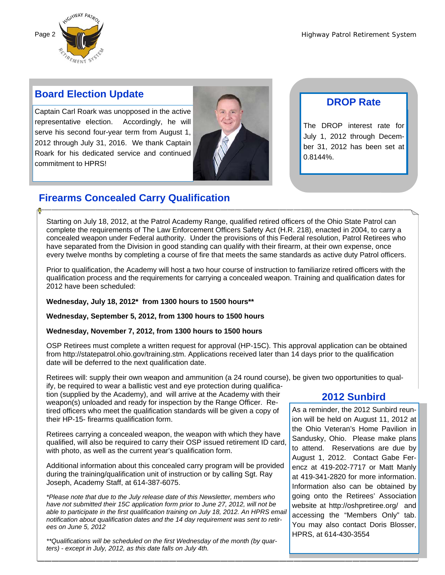

### **Board Election Update**

Captain Carl Roark was unopposed in the active representative election. Accordingly, he will serve his second four-year term from August 1, 2012 through July 31, 2016. We thank Captain Roark for his dedicated service and continued commitment to HPRS!



### **DROP Rate**

The DROP interest rate for July 1, 2012 through December 31, 2012 has been set at 0.8144%.

# **Firearms Concealed Carry Qualification**

Starting on July 18, 2012, at the Patrol Academy Range, qualified retired officers of the Ohio State Patrol can complete the requirements of The Law Enforcement Officers Safety Act (H.R. 218), enacted in 2004, to carry a concealed weapon under Federal authority. Under the provisions of this Federal resolution, Patrol Retirees who have separated from the Division in good standing can qualify with their firearm, at their own expense, once every twelve months by completing a course of fire that meets the same standards as active duty Patrol officers.

Prior to qualification, the Academy will host a two hour course of instruction to familiarize retired officers with the qualification process and the requirements for carrying a concealed weapon. Training and qualification dates for 2012 have been scheduled:

#### **Wednesday, July 18, 2012\* from 1300 hours to 1500 hours\*\***

**Wednesday, September 5, 2012, from 1300 hours to 1500 hours** 

#### **Wednesday, November 7, 2012, from 1300 hours to 1500 hours**

OSP Retirees must complete a written request for approval (HP-15C). This approval application can be obtained from http://statepatrol.ohio.gov/training.stm. Applications received later than 14 days prior to the qualification date will be deferred to the next qualification date.

Retirees will: supply their own weapon and ammunition (a 24 round course), be given two opportunities to qualify, be required to wear a ballistic vest and eye protection during qualifica-

tion (supplied by the Academy), and will arrive at the Academy with their weapon(s) unloaded and ready for inspection by the Range Officer. Retired officers who meet the qualification standards will be given a copy of their HP-15- firearms qualification form.

Retirees carrying a concealed weapon, the weapon with which they have qualified, will also be required to carry their OSP issued retirement ID card, with photo, as well as the current year's qualification form.

Additional information about this concealed carry program will be provided during the training/qualification unit of instruction or by calling Sgt. Ray Joseph, Academy Staff, at 614-387-6075.

*\*Please note that due to the July release date of this Newsletter, members who have not submitted their 15C application form prior to June 27, 2012, will not be able to participate in the first qualification training on July 18, 2012. An HPRS email notification about qualification dates and the 14 day requirement was sent to retirees on June 5, 2012* 

*\*\*Qualifications will be scheduled on the first Wednesday of the month (by quarters) - except in July, 2012, as this date falls on July 4th.* 

### **2012 Sunbird**

As a reminder, the 2012 Sunbird reunion will be held on August 11, 2012 at the Ohio Veteran's Home Pavilion in Sandusky, Ohio. Please make plans to attend. Reservations are due by August 1, 2012. Contact Gabe Ferencz at 419-202-7717 or Matt Manly at 419-341-2820 for more information. Information also can be obtained by going onto the Retirees' Association website at http://oshpretiree.org/ and accessing the "Members Only" tab. You may also contact Doris Blosser, HPRS, at 614-430-3554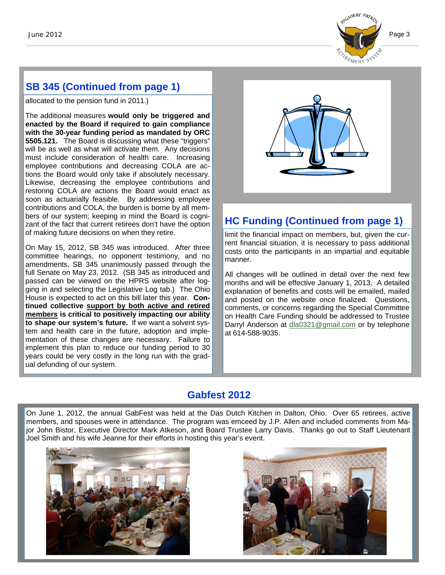

# **SB 345 (Continued from page 1)**

allocated to the pension fund in 2011.)

The additional measures **would only be triggered and enacted by the Board if required to gain compliance with the 30-year funding period as mandated by ORC 5505.121.** The Board is discussing what these "triggers" will be as well as what will activate them. Any decisions must include consideration of health care. Increasing employee contributions and decreasing COLA are actions the Board would only take if absolutely necessary. Likewise, decreasing the employee contributions and restoring COLA are actions the Board would enact as soon as actuarially feasible. By addressing employee contributions and COLA, the burden is borne by all members of our system; keeping in mind the Board is cognizant of the fact that current retirees don't have the option of making future decisions on when they retire.

On May 15, 2012, SB 345 was introduced. After three committee hearings, no opponent testimony, and no amendments, SB 345 unanimously passed through the full Senate on May 23, 2012. (SB 345 as introduced and passed can be viewed on the HPRS website after logging in and selecting the Legislative Log tab.) The Ohio House is expected to act on this bill later this year. **Continued collective support by both active and retired members is critical to positively impacting our ability to shape our system's future.** If we want a solvent system and health care in the future, adoption and implementation of these changes are necessary. Failure to implement this plan to reduce our funding period to 30 years could be very costly in the long run with the gradual defunding of our system.



# **HC Funding (Continued from page 1)**

limit the financial impact on members, but, given the current financial situation, it is necessary to pass additional costs onto the participants in an impartial and equitable manner.

All changes will be outlined in detail over the next few months and will be effective January 1, 2013. A detailed explanation of benefits and costs will be emailed, mailed and posted on the website once finalized. Questions, comments, or concerns regarding the Special Committee on Health Care Funding should be addressed to Trustee Darryl Anderson at dla0321@gmail.com or by telephone at 614-588-9035.

## **Gabfest 2012**

On June 1, 2012, the annual GabFest was held at the Das Dutch Kitchen in Dalton, Ohio. Over 65 retirees, active members, and spouses were in attendance. The program was emceed by J.P. Allen and included comments from Major John Bistor, Executive Director Mark Atkeson, and Board Trustee Larry Davis. Thanks go out to Staff Lieutenant Joel Smith and his wife Jeanne for their efforts in hosting this year's event.